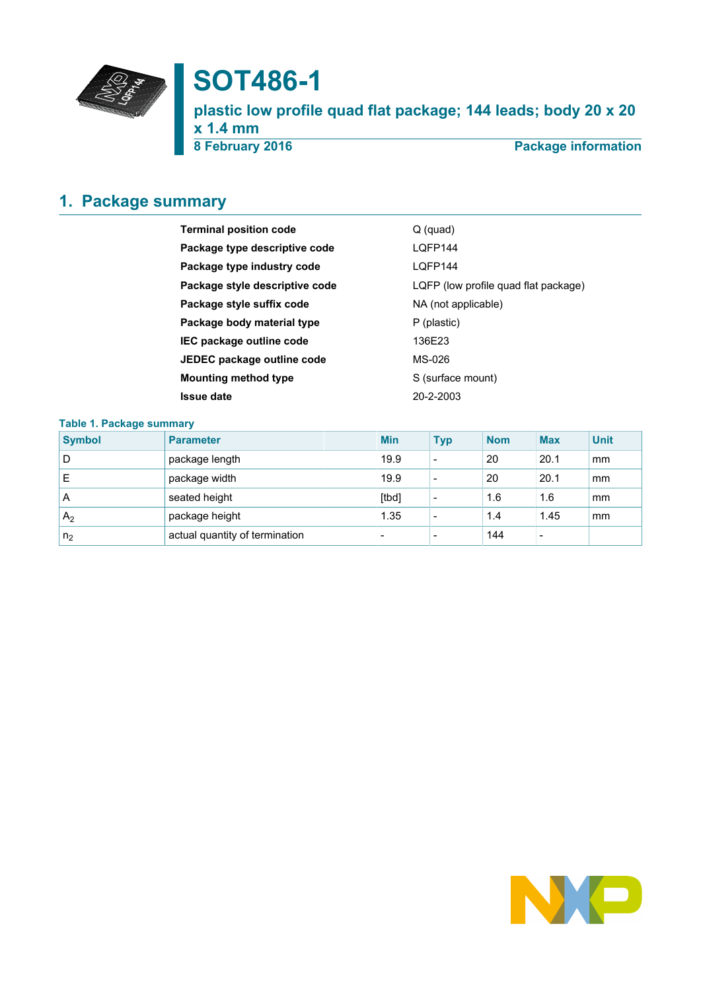

# **SOT486-1**

**plastic low profile quad flat package; 144 leads; body 20 x 20 x 1.4 mm**

**8 February 2016 Package information**

# <span id="page-0-0"></span>**1. Package summary**

| <b>Terminal position code</b>  | $Q$ (quad)                           |
|--------------------------------|--------------------------------------|
| Package type descriptive code  | LOFP144                              |
| Package type industry code     | LOFP144                              |
| Package style descriptive code | LQFP (low profile quad flat package) |
| Package style suffix code      | NA (not applicable)                  |
| Package body material type     | P (plastic)                          |
| IEC package outline code       | 136E23                               |
| JEDEC package outline code     | MS-026                               |
| <b>Mounting method type</b>    | S (surface mount)                    |
| <b>Issue date</b>              | 20-2-2003                            |
|                                |                                      |

## **Table 1. Package summary**

| <b>Symbol</b>  | <b>Parameter</b>               | <b>Min</b>               | <b>Typ</b>               | <b>Nom</b> | <b>Max</b>               | <b>Unit</b> |
|----------------|--------------------------------|--------------------------|--------------------------|------------|--------------------------|-------------|
| D              | package length                 | 19.9                     | $\overline{\phantom{0}}$ | 20         | 20.1                     | mm          |
| E              | package width                  | 19.9                     | $\overline{\phantom{0}}$ | 20         | 20.1                     | mm          |
| A              | seated height                  | [tbd]                    |                          | 1.6        | 1.6                      | mm          |
| A <sub>2</sub> | package height                 | 1.35                     |                          | 1.4        | 1.45                     | mm          |
| n <sub>2</sub> | actual quantity of termination | $\overline{\phantom{0}}$ |                          | 144        | $\overline{\phantom{a}}$ |             |

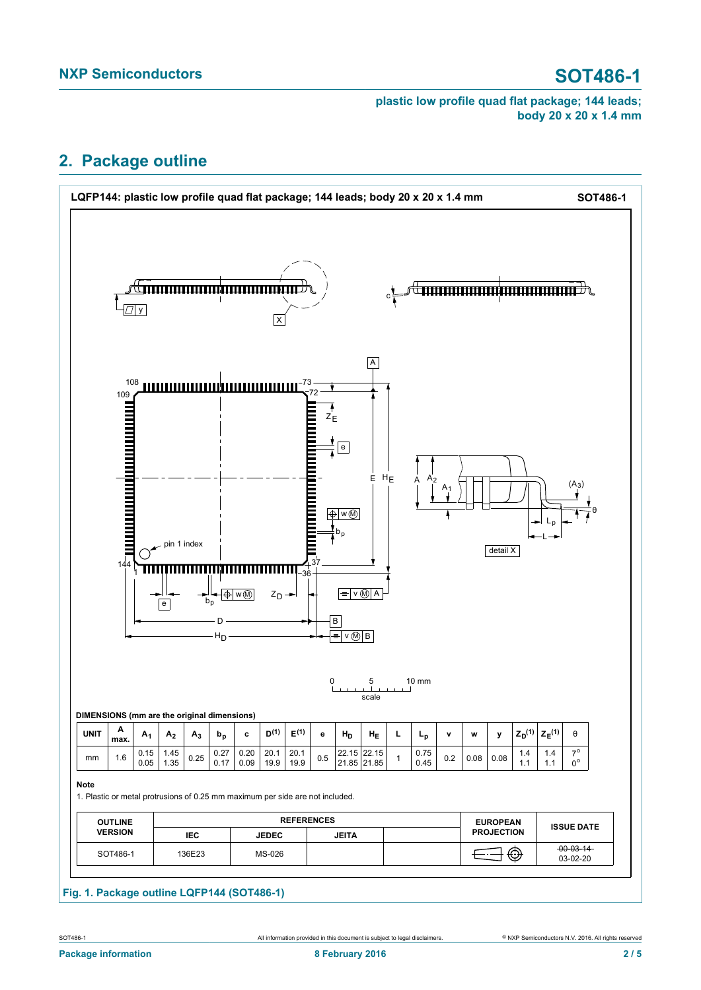# <span id="page-1-0"></span>**2. Package outline**



## **Fig. 1. Package outline LQFP144 (SOT486-1)**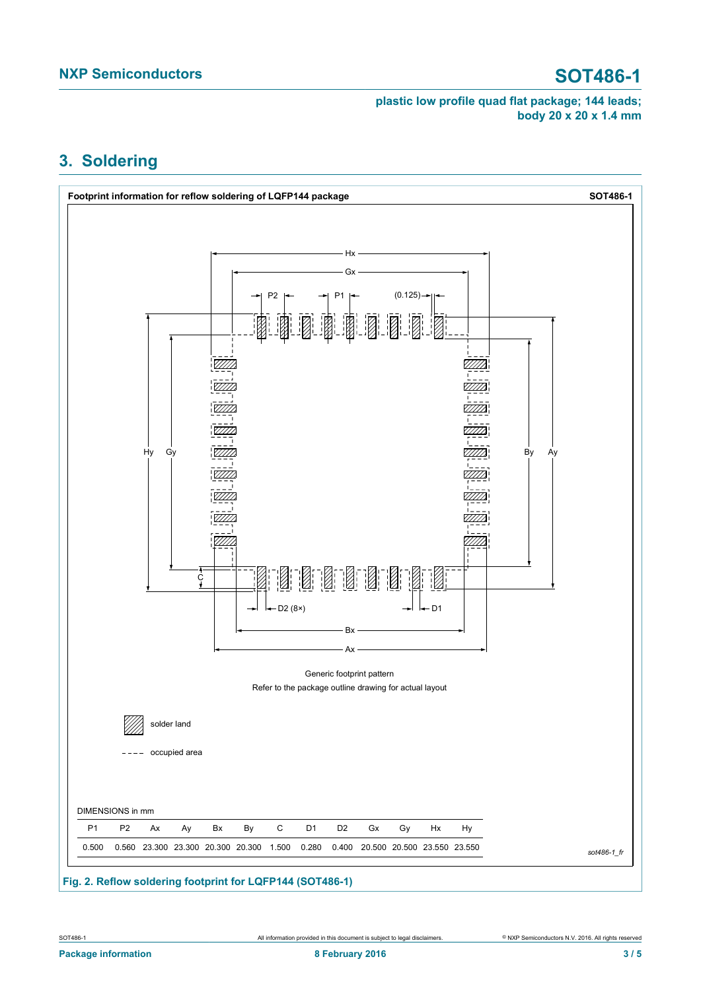# <span id="page-2-0"></span>**3. Soldering**



**Fig. 2. Reflow soldering footprint for LQFP144 (SOT486-1)**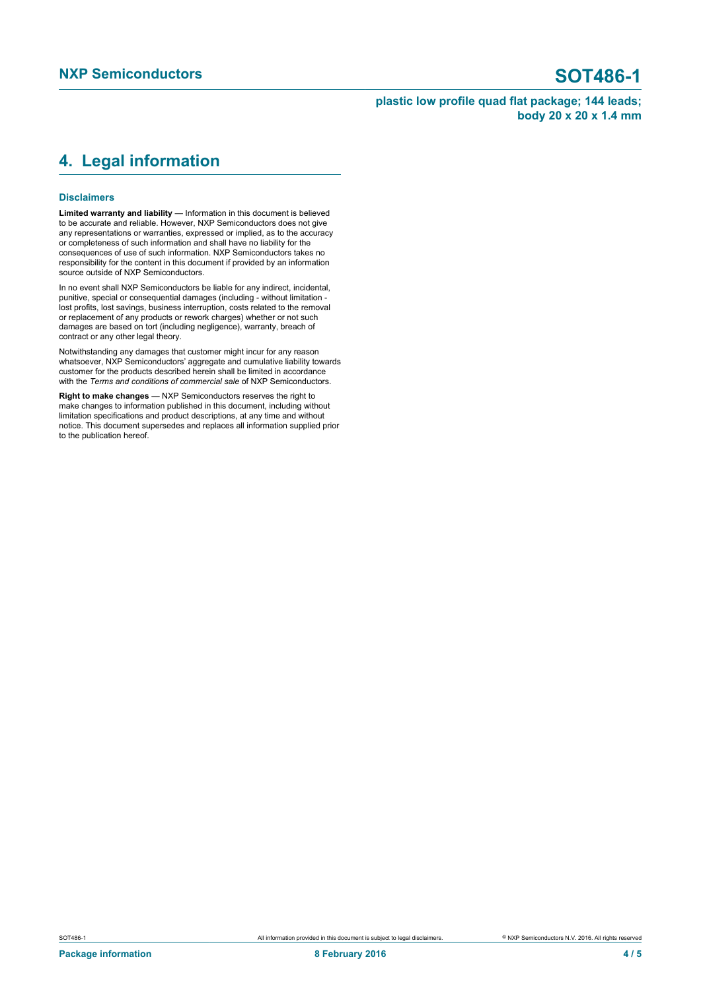# <span id="page-3-0"></span>**4. Legal information**

### **Disclaimers**

**Limited warranty and liability** — Information in this document is believed to be accurate and reliable. However, NXP Semiconductors does not give any representations or warranties, expressed or implied, as to the accuracy or completeness of such information and shall have no liability for the consequences of use of such information. NXP Semiconductors takes no responsibility for the content in this document if provided by an information source outside of NXP Semiconductors.

In no event shall NXP Semiconductors be liable for any indirect, incidental, punitive, special or consequential damages (including - without limitation lost profits, lost savings, business interruption, costs related to the removal or replacement of any products or rework charges) whether or not such damages are based on tort (including negligence), warranty, breach of contract or any other legal theory.

Notwithstanding any damages that customer might incur for any reason whatsoever, NXP Semiconductors' aggregate and cumulative liability towards customer for the products described herein shall be limited in accordance with the *Terms and conditions of commercial sale* of NXP Semiconductors.

**Right to make changes** — NXP Semiconductors reserves the right to make changes to information published in this document, including without limitation specifications and product descriptions, at any time and without notice. This document supersedes and replaces all information supplied prior to the publication hereof.